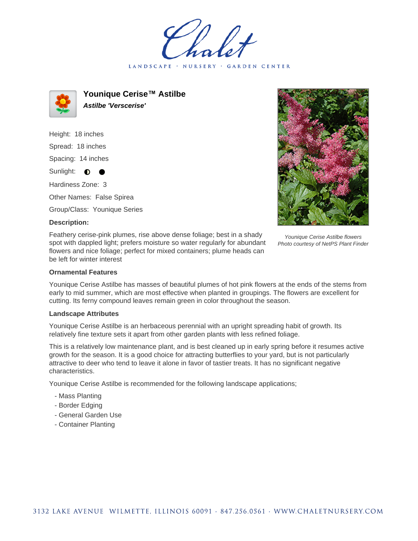LANDSCAPE · NURSERY **GARDEN CENTER** 



**Younique Cerise™ Astilbe Astilbe 'Verscerise'**

Height: 18 inches Spread: 18 inches Spacing: 14 inches Sunlight: **O** Hardiness Zone: 3 Other Names: False Spirea Group/Class: Younique Series

### **Description:**

Feathery cerise-pink plumes, rise above dense foliage; best in a shady spot with dappled light; prefers moisture so water regularly for abundant flowers and nice foliage; perfect for mixed containers; plume heads can be left for winter interest

#### Younique Cerise Astilbe flowers Photo courtesy of NetPS Plant Finder

## **Ornamental Features**

Younique Cerise Astilbe has masses of beautiful plumes of hot pink flowers at the ends of the stems from early to mid summer, which are most effective when planted in groupings. The flowers are excellent for cutting. Its ferny compound leaves remain green in color throughout the season.

#### **Landscape Attributes**

Younique Cerise Astilbe is an herbaceous perennial with an upright spreading habit of growth. Its relatively fine texture sets it apart from other garden plants with less refined foliage.

This is a relatively low maintenance plant, and is best cleaned up in early spring before it resumes active growth for the season. It is a good choice for attracting butterflies to your yard, but is not particularly attractive to deer who tend to leave it alone in favor of tastier treats. It has no significant negative characteristics.

Younique Cerise Astilbe is recommended for the following landscape applications;

- Mass Planting
- Border Edging
- General Garden Use
- Container Planting